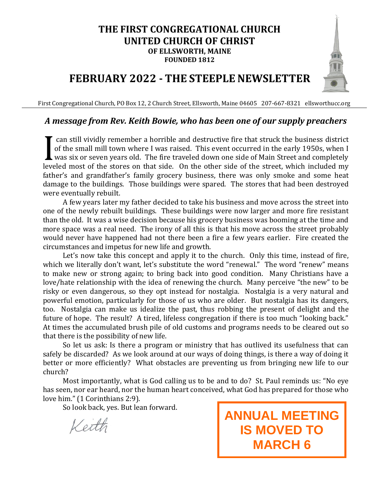## **THE FIRST CONGREGATIONAL CHURCH UNITED CHURCH OF CHRIST OF ELLSWORTH, MAINE FOUNDED 1812**

## **FEBRUARY 2022 - THE STEEPLE NEWSLETTER**

First Congregational Church, PO Box 12, 2 Church Street, Ellsworth, Maine 04605 207-667-8321 ellsworthucc.org

## *A message from Rev. Keith Bowie, who has been one of our supply preachers*

can still vividly remember a horrible and destructive fire that struck the business district of the small mill town where I was raised. This event occurred in the early 1950s, when I was six or seven years old. The fire traveled down one side of Main Street and completely leveled most of the stores on that side. On the other side of the street, which included my father's and grandfather's family grocery business, there was only smoke and some heat damage to the buildings. Those buildings were spared. The stores that had been destroyed were eventually rebuilt. I

A few years later my father decided to take his business and move across the street into one of the newly rebuilt buildings. These buildings were now larger and more fire resistant than the old. It was a wise decision because his grocery business was booming at the time and more space was a real need. The irony of all this is that his move across the street probably would never have happened had not there been a fire a few years earlier. Fire created the circumstances and impetus for new life and growth.

Let's now take this concept and apply it to the church. Only this time, instead of fire, which we literally don't want, let's substitute the word "renewal." The word "renew" means to make new or strong again; to bring back into good condition. Many Christians have a love/hate relationship with the idea of renewing the church. Many perceive "the new" to be risky or even dangerous, so they opt instead for nostalgia. Nostalgia is a very natural and powerful emotion, particularly for those of us who are older. But nostalgia has its dangers, too. Nostalgia can make us idealize the past, thus robbing the present of delight and the future of hope. The result? A tired, lifeless congregation if there is too much "looking back." At times the accumulated brush pile of old customs and programs needs to be cleared out so that there is the possibility of new life.

So let us ask: Is there a program or ministry that has outlived its usefulness that can safely be discarded? As we look around at our ways of doing things, is there a way of doing it better or more efficiently? What obstacles are preventing us from bringing new life to our church?

Most importantly, what is God calling us to be and to do? St. Paul reminds us: "No eye has seen, nor ear heard, nor the human heart conceived, what God has prepared for those who love him." (1 Corinthians 2:9).

So look back, yes. But lean forward.

Keith

**ANNUAL MEETING IS MOVED TO MARCH 6**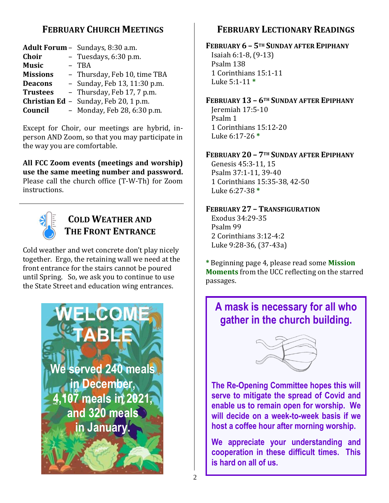## **FEBRUARY CHURCH MEETINGS**

|                 | <b>Adult Forum -</b> Sundays, 8:30 a.m. |
|-----------------|-----------------------------------------|
| <b>Choir</b>    | - Tuesdays, 6:30 p.m.                   |
| <b>Music</b>    | - TBA                                   |
| <b>Missions</b> | - Thursday, Feb 10, time TBA            |
| <b>Deacons</b>  | - Sunday, Feb 13, 11:30 p.m.            |
| <b>Trustees</b> | - Thursday, Feb 17, 7 p.m.              |
|                 | Christian Ed - Sunday, Feb 20, 1 p.m.   |
| Council         | - Monday, Feb 28, 6:30 p.m.             |
|                 |                                         |

Except for Choir, our meetings are hybrid, inperson AND Zoom, so that you may participate in the way you are comfortable.

**All FCC Zoom events (meetings and worship) use the same meeting number and password.** Please call the church office (T-W-Th) for Zoom instructions.



## **COLD WEATHER AND THE FRONT ENTRANCE**

Cold weather and wet concrete don't play nicely together. Ergo, the retaining wall we need at the front entrance for the stairs cannot be poured until Spring. So, we ask you to continue to use the State Street and education wing entrances.



## **FEBRUARY LECTIONARY READINGS**

## **FEBRUARY 6 – 5TH SUNDAY AFTER EPIPHANY** Isaiah 6:1-8, (9-13)

Psalm 138 1 Corinthians 15:1-11 Luke 5:1-11 **\***

## **FEBRUARY 13 – 6TH SUNDAY AFTER EPIPHANY**

Jeremiah 17:5-10 Psalm 1 1 Corinthians 15:12-20 Luke 6:17-26 **\***

## **FEBRUARY 20 – 7TH SUNDAY AFTER EPIPHANY**

Genesis 45:3-11, 15 Psalm 37:1-11, 39-40 1 Corinthians 15:35-38, 42-50 Luke 6:27-38 **\***

## **FEBRUARY 27 – TRANSFIGURATION**

Exodus 34:29-35 Psalm 99 2 Corinthians 3:12-4:2 Luke 9:28-36, (37-43a)

**\*** Beginning page 4, please read some **Mission Moments** from the UCC reflecting on the starred passages.

## **A mask is necessary for all who gather in the church building.**



**The Re-Opening Committee hopes this will serve to mitigate the spread of Covid and enable us to remain open for worship. We will decide on a week-to-week basis if we host a coffee hour after morning worship.**

**We appreciate your understanding and cooperation in these difficult times. This is hard on all of us.**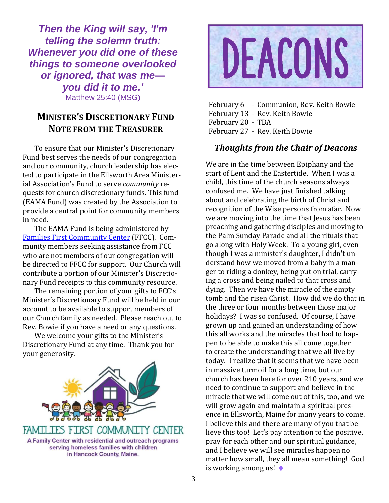*Then the King will say, 'I'm telling the solemn truth: Whenever you did one of these things to someone overlooked or ignored, that was me you did it to me.'* Matthew 25:40 (MSG)

## **MINISTER'S DISCRETIONARY FUND NOTE FROM THE TREASURER**

To ensure that our Minister's Discretionary Fund best serves the needs of our congregation and our community, church leadership has elected to participate in the Ellsworth Area Ministerial Association's Fund to serve *community* requests for church discretionary funds. This fund (EAMA Fund) was created by the Association to provide a central point for community members in need.

The EAMA Fund is being administered by [Families First Community Center](https://familiesfirstellsworth.org/) (FFCC). Community members seeking assistance from FCC who are not members of our congregation will be directed to FFCC for support. Our Church will contribute a portion of our Minister's Discretionary Fund receipts to this community resource.

The remaining portion of your gifts to FCC's Minister's Discretionary Fund will be held in our account to be available to support members of our Church family as needed. Please reach out to Rev. Bowie if you have a need or any questions.

We welcome your gifts to the Minister's Discretionary Fund at any time. Thank you for your generosity.





February 6 - Communion, Rev. Keith Bowie February 13 - Rev. Keith Bowie February 20 - TBA February 27 - Rev. Keith Bowie

## *Thoughts from the Chair of Deacons*

We are in the time between Epiphany and the start of Lent and the Eastertide. When I was a child, this time of the church seasons always confused me. We have just finished talking about and celebrating the birth of Christ and recognition of the Wise persons from afar. Now we are moving into the time that Jesus has been preaching and gathering disciples and moving to the Palm Sunday Parade and all the rituals that go along with Holy Week. To a young girl, even though I was a minister's daughter, I didn't understand how we moved from a baby in a manger to riding a donkey, being put on trial, carrying a cross and being nailed to that cross and dying. Then we have the miracle of the empty tomb and the risen Christ. How did we do that in the three or four months between those major holidays? I was so confused. Of course, I have grown up and gained an understanding of how this all works and the miracles that had to happen to be able to make this all come together to create the understanding that we all live by today. I realize that it seems that we have been in massive turmoil for a long time, but our church has been here for over 210 years, and we need to continue to support and believe in the miracle that we will come out of this, too, and we will grow again and maintain a spiritual presence in Ellsworth, Maine for many years to come. I believe this and there are many of you that believe this too! Let's pay attention to the positive, pray for each other and our spiritual guidance, and I believe we will see miracles happen no matter how small, they all mean something! God is working among us! ♦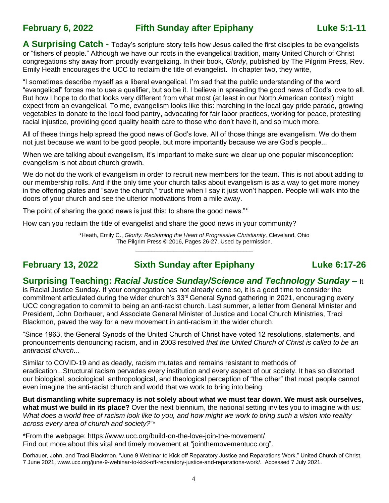## **February 6, 2022 Fifth Sunday after Epiphany Luke 5:1-11**

**A Surprising Catch** - Today's scripture story tells how Jesus called the first disciples to be evangelists or "fishers of people." Although we have our roots in the evangelical tradition, many United Church of Christ congregations shy away from proudly evangelizing. In their book, *Glorify*, published by The Pilgrim Press, Rev. Emily Heath encourages the UCC to reclaim the title of evangelist. In chapter two, they write,

"I sometimes describe myself as a liberal evangelical. I'm sad that the public understanding of the word "evangelical" forces me to use a qualifier, but so be it. I believe in spreading the good news of God's love to all. But how I hope to do that looks very different from what most (at least in our North American context) might expect from an evangelical. To me, evangelism looks like this: marching in the local gay pride parade, growing vegetables to donate to the local food pantry, advocating for fair labor practices, working for peace, protesting racial injustice, providing good quality health care to those who don't have it, and so much more.

All of these things help spread the good news of God's love. All of those things are evangelism. We do them not just because we want to be good people, but more importantly because we are God's people...

When we are talking about evangelism, it's important to make sure we clear up one popular misconception: evangelism is not about church growth.

We do not do the work of evangelism in order to recruit new members for the team. This is not about adding to our membership rolls. And if the only time your church talks about evangelism is as a way to get more money in the offering plates and "save the church," trust me when I say it just won't happen. People will walk into the doors of your church and see the ulterior motivations from a mile away.

The point of sharing the good news is just this: to share the good news."\*

How can you reclaim the title of evangelist and share the good news in your community?

\*Heath, Emily C., *Glorify: Reclaiming the Heart of Progressive Christianity,* Cleveland, Ohio The Pilgrim Press © 2016, Pages 26-27, Used by permission. \_\_\_\_\_\_\_\_\_\_\_\_\_\_\_\_\_\_\_\_\_\_\_\_\_\_\_\_\_\_\_\_\_\_\_\_\_

## **February 13, 2022 Sixth Sunday after Epiphany Luke 6:17-26**

## **Surprising Teaching:** *Racial Justice Sunday/Science and Technology Sunday* – It

is Racial Justice Sunday. If your congregation has not already done so, it is a good time to consider the commitment articulated during the wider church's 33<sup>rd</sup> General Synod gathering in 2021, encouraging every UCC congregation to commit to being an anti-racist church. Last summer, a letter from General Minister and President, John Dorhauer, and Associate General Minister of Justice and Local Church Ministries, Traci Blackmon, paved the way for a new movement in anti-racism in the wider church.

"Since 1963, the General Synods of the United Church of Christ have voted 12 resolutions, statements, and pronouncements denouncing racism, and in 2003 resolved *that the United Church of Christ is called to be an antiracist church...*

Similar to COVID-19 and as deadly, racism mutates and remains resistant to methods of eradication...Structural racism pervades every institution and every aspect of our society. It has so distorted our biological, sociological, anthropological, and theological perception of "the other" that most people cannot even imagine the anti-racist church and world that we work to bring into being.

**But dismantling white supremacy is not solely about what we must tear down. We must ask ourselves, what must we build in its place?** Over the next biennium, the national setting invites you to imagine with us: *What does a world free of racism look like to you, and how might we work to bring such a vision into reality across every area of church and society?*"\*

\*From the webpage: https://www.ucc.org/build-on-the-love-join-the-movement/ Find out more about this vital and timely movement at "jointhemovementucc.org".

Dorhauer, John, and Traci Blackmon. "June 9 Webinar to Kick off Reparatory Justice and Reparations Work." United Church of Christ, 7 June 2021, www.ucc.org/june-9-webinar-to-kick-off-reparatory-justice-and-reparations-work/. Accessed 7 July 2021.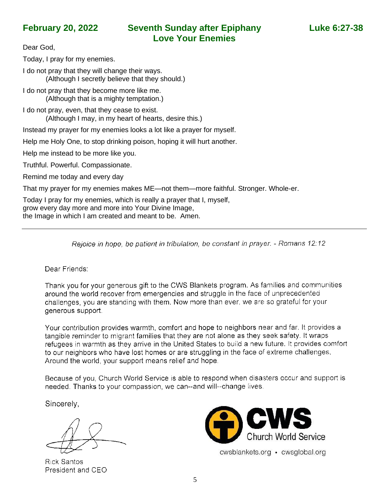Dear God,

Today, I pray for my enemies.

I do not pray that they will change their ways. (Although I secretly believe that they should.)

I do not pray that they become more like me. (Although that is a mighty temptation.)

I do not pray, even, that they cease to exist. (Although I may, in my heart of hearts, desire this.)

Instead my prayer for my enemies looks a lot like a prayer for myself.

Help me Holy One, to stop drinking poison, hoping it will hurt another.

Help me instead to be more like you.

Truthful. Powerful. Compassionate.

Remind me today and every day

That my prayer for my enemies makes ME—not them—more faithful. Stronger. Whole-er.

Today I pray for my enemies, which is really a prayer that I, myself, grow every day more and more into Your Divine Image, the Image in which I am created and meant to be. Amen.

Rejoice in hope, be patient in tribulation, be constant in prayer. - Romans 12:12

Dear Friends:

Thank you for your generous gift to the CWS Blankets program. As families and communities around the world recover from emergencies and struggle in the face of unprecedented challenges, you are standing with them. Now more than ever, we are so grateful for your generous support.

Your contribution provides warmth, comfort and hope to neighbors near and far. It provides a tangible reminder to migrant families that they are not alone as they seek safety. It wraps refugees in warmth as they arrive in the United States to build a new future. It provides comfort to our neighbors who have lost homes or are struggling in the face of extreme challenges. Around the world, your support means relief and hope.

Because of you, Church World Service is able to respond when disasters occur and support is needed. Thanks to your compassion, we can--and will--change lives.

Sincerely,

**Rick Santos** President and CEO